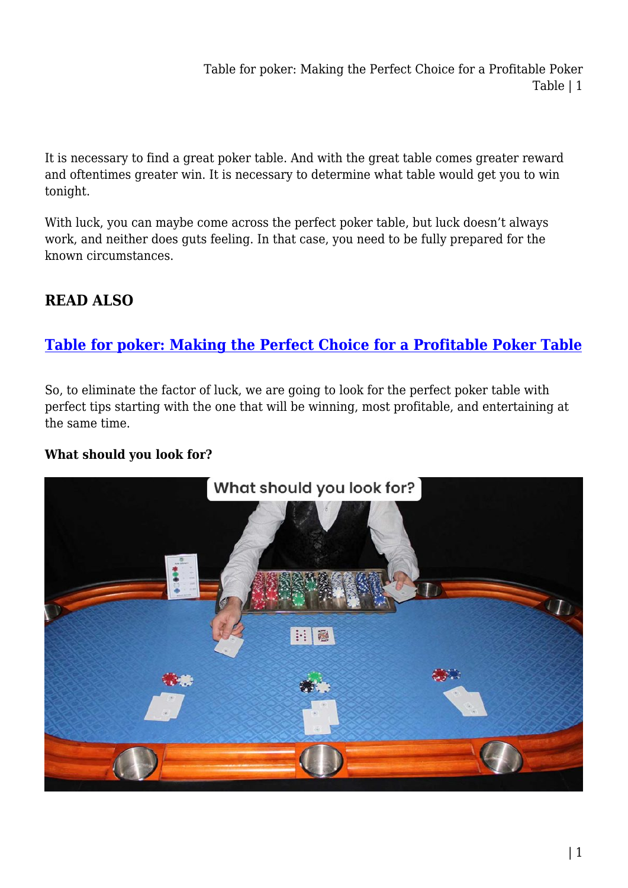Table for poker: Making the Perfect Choice for a Profitable Poker Table | 1

It is necessary to find a great poker table. And with the great table comes greater reward and oftentimes greater win. It is necessary to determine what table would get you to win tonight.

With luck, you can maybe come across the perfect poker table, but luck doesn't always work, and neither does guts feeling. In that case, you need to be fully prepared for the known circumstances.

# **READ ALSO**

# **[Table for poker: Making the Perfect Choice for a Profitable Poker Table](https://power-battery.com.au/table-for-poker-making-the-perfect-choice-for-a-profitable-poker-table/)**

So, to eliminate the factor of luck, we are going to look for the perfect poker table with perfect tips starting with the one that will be winning, most profitable, and entertaining at the same time.

## **What should you look for?**

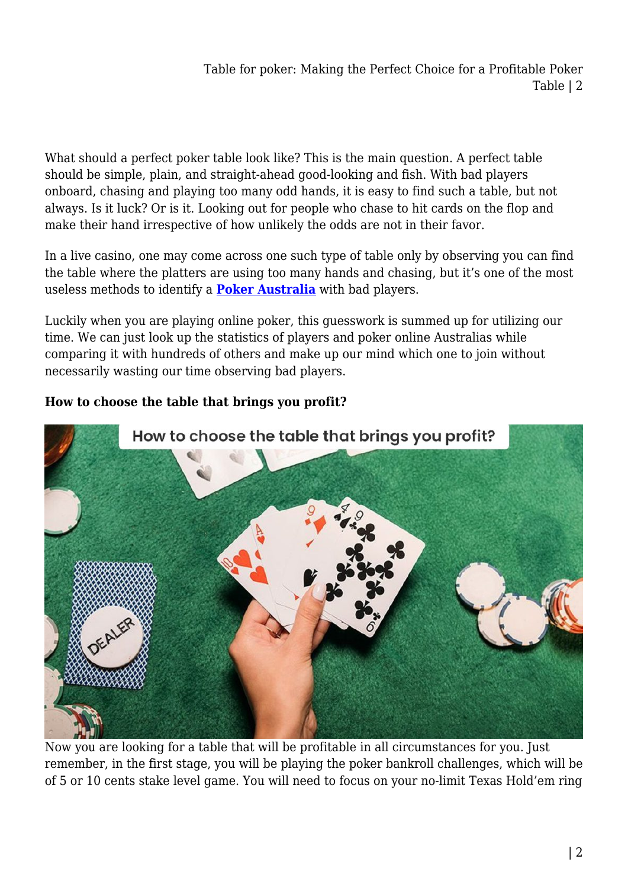What should a perfect poker table look like? This is the main question. A perfect table should be simple, plain, and straight-ahead good-looking and fish. With bad players onboard, chasing and playing too many odd hands, it is easy to find such a table, but not always. Is it luck? Or is it. Looking out for people who chase to hit cards on the flop and make their hand irrespective of how unlikely the odds are not in their favor.

In a live casino, one may come across one such type of table only by observing you can find the table where the platters are using too many hands and chasing, but it's one of the most useless methods to identify a **[Poker Australia](https://furnitureoffers.com.au/)** with bad players.

Luckily when you are playing online poker, this guesswork is summed up for utilizing our time. We can just look up the statistics of players and poker online Australias while comparing it with hundreds of others and make up our mind which one to join without necessarily wasting our time observing bad players.

# How to choose the table that brings you profit?

# **How to choose the table that brings you profit?**

Now you are looking for a table that will be profitable in all circumstances for you. Just remember, in the first stage, you will be playing the poker bankroll challenges, which will be of 5 or 10 cents stake level game. You will need to focus on your no-limit Texas Hold'em ring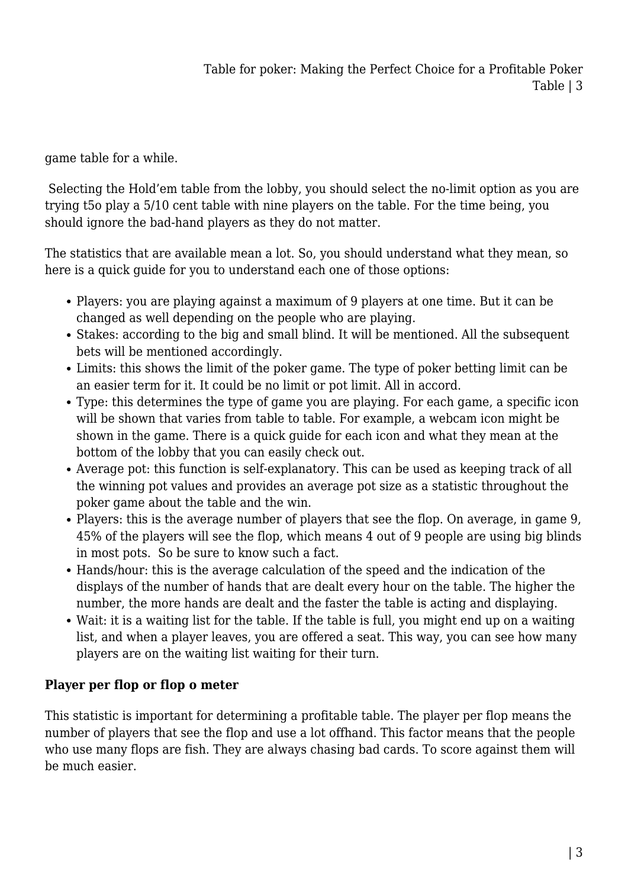game table for a while.

 Selecting the Hold'em table from the lobby, you should select the no-limit option as you are trying t5o play a 5/10 cent table with nine players on the table. For the time being, you should ignore the bad-hand players as they do not matter.

The statistics that are available mean a lot. So, you should understand what they mean, so here is a quick guide for you to understand each one of those options:

- Players: you are playing against a maximum of 9 players at one time. But it can be changed as well depending on the people who are playing.
- Stakes: according to the big and small blind. It will be mentioned. All the subsequent bets will be mentioned accordingly.
- Limits: this shows the limit of the poker game. The type of poker betting limit can be an easier term for it. It could be no limit or pot limit. All in accord.
- Type: this determines the type of game you are playing. For each game, a specific icon will be shown that varies from table to table. For example, a webcam icon might be shown in the game. There is a quick guide for each icon and what they mean at the bottom of the lobby that you can easily check out.
- Average pot: this function is self-explanatory. This can be used as keeping track of all the winning pot values and provides an average pot size as a statistic throughout the poker game about the table and the win.
- Players: this is the average number of players that see the flop. On average, in game 9, 45% of the players will see the flop, which means 4 out of 9 people are using big blinds in most pots. So be sure to know such a fact.
- Hands/hour: this is the average calculation of the speed and the indication of the displays of the number of hands that are dealt every hour on the table. The higher the number, the more hands are dealt and the faster the table is acting and displaying.
- Wait: it is a waiting list for the table. If the table is full, you might end up on a waiting list, and when a player leaves, you are offered a seat. This way, you can see how many players are on the waiting list waiting for their turn.

## **Player per flop or flop o meter**

This statistic is important for determining a profitable table. The player per flop means the number of players that see the flop and use a lot offhand. This factor means that the people who use many flops are fish. They are always chasing bad cards. To score against them will be much easier.